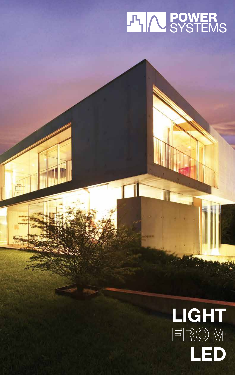# FLIN POWER

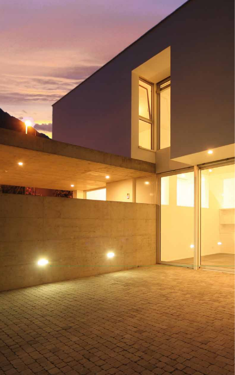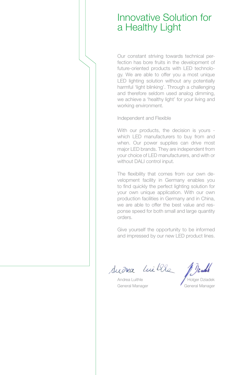## Innovative Solution for a Healthy Light

Our constant striving towards technical perfection has bore fruits in the development of future-oriented products with LED technology. We are able to offer you a most unique LED lighting solution without any potentially harmful 'light blinking'. Through a challenging and therefore seldom used analog dimming, we achieve a 'healthy light' for your living and working environment.

Independent and Flexible

With our products, the decision is yours which LED manufacturers to buy from and when. Our power supplies can drive most major LED brands. They are independent from your choice of LED manufacturers, and with or without DALI control input.

The flexibility that comes from our own development facility in Germany enables you to find quickly the perfect lighting solution for your own unique application. With our own production facilities in Germany and in China, we are able to offer the best value and response speed for both small and large quantity orders.

Give yourself the opportunity to be informed and impressed by our new LED product lines.

Audrea Luie Lille Middel

General Manager General Manager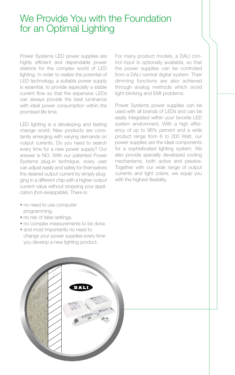## We Provide You with the Foundation for an Optimal Lighting

Power Systems LED power supplies are highly efficient and dependable power stations for the complex world of LED lighting. In order to realize the potential of LED technology, a suitable power supply is essential, to provide especially a stable current flow so that the expensive LEDs can always provide the best luminance with ideal power consumption within the promised life time.

LED lighting is a developing and fasting change world. New products are constantly emerging with varying demands on output currents. Do you need to search every time for a new power supply? Our answer is NO. With our patented Power Systems plug-in technique, every user can adjust easily and safely for themselves the desired output current by simply plugging in a different chip with a higher output current value without stopping your application (hot-swappable). There is:

- no need to use computer programming.
- no risk of false settings.
- no complex measurements to be done.
- and most importantly no need to change your power supplies every time you develop a new lighting product.

For many product models, a DALI control input is optionally available, so that the power supplies can be controlled from a DALI central digital system. Their dimming functions are also achieved through analog methods which avoid light blinking and EMI problems.

Power Systems power supplies can be used with all brands of LEDs and can be easily integrated within your favorite LED system environment. With a high efficiency of up to 96% percent and a wide product range from 6 to 200 Watt, our power supplies are the ideal components for a sophisticated lighting system. We also provide specially developed cooling mechanisms, both active and passive. Together with our wide range of output currents and light colors, we equip you with the highest flexibility.

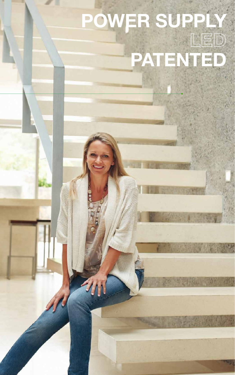# **power supply LED PATENTED**

2012年10月14日 2013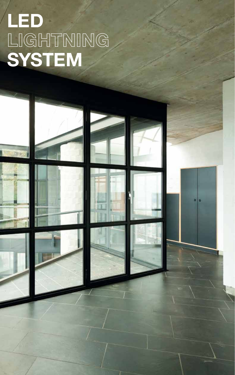# **LED LIGHTNING SYSTEM**

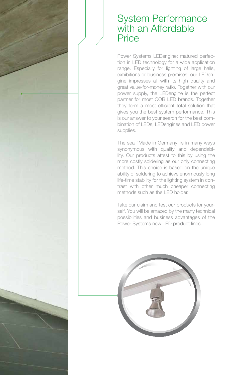## System Performance with an Affordable **Price**

Power Systems LEDengine: matured perfection in LED technology for a wide application range. Especially for lighting of large halls, exhibitions or business premises, our LEDengine impresses all with its high quality and great value-for-money ratio. Together with our power supply, the LEDengine is the perfect partner for most COB LED brands. Together they form a most efficient total solution that gives you the best system performance. This is our answer to your search for the best combination of LEDs, LEDengines and LED power supplies.

The seal 'Made in Germany' is in many ways synonymous with quality and dependability. Our products attest to this by using the more costly soldering as our only connecting method. This choice is based on the unique ability of soldering to achieve enormously long life-time stability for the lighting system in contrast with other much cheaper connecting methods such as the LED holder.

Take our claim and test our products for yourself. You will be amazed by the many technical possibilities and business advantages of the Power Systems new LED product lines.

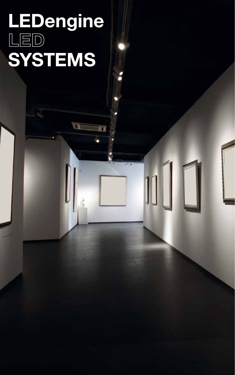## **LEDengine LED SYSTEMS**

 $\overline{\mathbf{u}}$ 

 $\overline{\mathbf{u}}$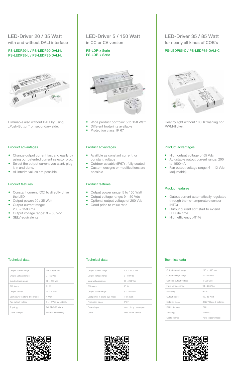#### LED-Driver 20 / 35 Watt with and without DALI interface

#### PS-LEDP20-L / PS-LEDP20-DALI-L PS-LEDP35-L / PS-LEDP35-DALI-L



Dimmable also without DALI by using "Push-Button" on secondary side.

#### Product advantages

- Change output current fast and easily by using our patented current selector plug.
- Select the output current you want, plug it in and done.
- All interim values are possible.

#### Product features

- Constant current (CC) to directly drive the LED
- Output power: 20 / 35 Watt
- Output current range:  $200 - 1500$  mA
- Output voltage range:  $9 \sim 50$  Vdc
- SELV equivalents

#### Technical data

| Output current range         | $200 \approx 1500$ mA     |
|------------------------------|---------------------------|
| Output voltage range         | $9 - 50$ Vdc              |
| Input voltage range          | $90 - 264$ Vac            |
| Efficiency                   | 91 %                      |
| Output power                 | 20 / 35 Watt              |
| Lost power in stand-bye-mode | 1 Watt                    |
| Fan output voltage           | $6 - 12$ Vdc (adjustable) |
| Topology                     | Full PFC (20 Watt)        |
| Cable clamps                 | Poke-in (screwless)       |



### LED-Driver 5 / 150 Watt in CC or CV version

PS-LDP-x Serie PS-LDR-x Serie



- • Wide product portfolio: 5 to 150 Watt
- Different footprints available
- Protection class: IP 67

#### Product advantages

- • Availible as constant current, or constant voltage
- Outdoor useable (IP67), fully coated
- Custom designs or modifications are possible

#### Product features

- Output power range: 5 to 150 Watt
- Output voltage range:  $9 \sim 50$  Vdc
- • Optional output voltage of 200 Vdc
- • Good price to value ratio

### LED-Driver 35 / 85 Watt for nearly all kinds of COB's

#### PS-LEDP85-C / PS-LEDP85-DALI-C



Healthy light without 100Hz flashing nor PWM-flicker.

#### Product advantages

- High output voltage of 55 Vdc
- • Adjustable output current range: 200 to 1500mA
- Fan output voltage range:  $6 \sim 12$  Vdc (adjustable)

#### Product features

- • Output current automatically regulated through themo-temperature sensor (NTC)
- • Output current soft start to extend LED life time
- High efficiency >91%

| Output current range         | $100 \sim 5400$ mA     |
|------------------------------|------------------------|
| Output voltage range         | $9 - 50$ Vdc           |
| Input voltage range          | $90 - 264$ Vac         |
| Efficiency                   | 90%                    |
| Output power range           | $5 - 150$ Watt         |
| Lost power in stand-bye-mode | $< 0.5$ Watt           |
| Protection class             | IP 67                  |
| Case shape                   | round, long or compact |
| Cable                        | fixed within device    |



#### Technical data Technical data

| Output current range    | $200 \sim 1500 \text{ mA}$ |
|-------------------------|----------------------------|
| Output voltage range    | $21 - 55$ Vdc              |
| Optional output voltage | of 200 Vdc                 |
| Input voltage range     | $90 - 264$ Vac             |
| Efficiency              | 91 %                       |
| Output power            | 35 / 85 Watt               |
| Isolation class         | SELV / Class 2 isolation   |
| DALL interface          | <b>DALI</b>                |
| Topology                | Full PFC                   |
| Cable clamps            | Poke-in (screwless)        |

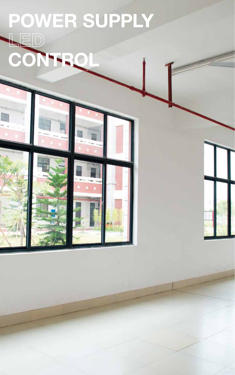## **power supply LED CONTROL**



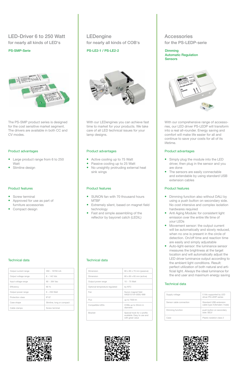### LED-Driver 6 to 250 Watt for nearly all kinds of LED's



The PS-SMP product series is designed for the cost sensitive market segment. The drivers are available in both CC and CV modes

#### Product advantages

- Large product range from 6 to 250 Watt
- Slimline design

#### Product features

- Screw terminal
- Approved for use as part of furniture accessories
- Compact design

#### Technical data Technical data

| Output current range | $350 - 16700$ mA          |
|----------------------|---------------------------|
| Output voltage range | $8 - 142$ Vdc             |
| Input voltage range  | $90 - 264$ Vac            |
| Efficiency           | 90%                       |
| Output power range   | $6 - 250$ Watt            |
| Protection class     | IP 67                     |
| Case shape           | Slimline, long or compact |
| Cable clamps         | Screw terminal            |



### **LEDengine** for nearly all kinds of COB's

#### PS-SMP-Serie **PS-LE2-1 / PS-LE2-2** PS-LE2-2 Dimming



With our LEDengines you can achieve fast time to market for your products. We take care of all LED technical issues for your lamp designs.

#### Product advantages

- Active cooling up to 75 Watt
- Passive cooling up to 25 Watt
- No unsightly protruding external heat sink wings

#### Product features

- SUNON fan with 70 thousand hours MTBF
- Extremely silent, based on magnet field technology
- Fast and simple assembling of the reflector by bayonet catch (LEDiL)

| Dimension                      | $60 \times 60 \times 70$ mm (passive)                                        |
|--------------------------------|------------------------------------------------------------------------------|
| Dimension                      | 60 x 60 x 85 mm (active)                                                     |
| Output power range             | $10 - 75$ Watt                                                               |
| Optional temperature regulated | by NTC                                                                       |
| Fan                            | Sunon magnet field<br>HA50151V4-000U-999                                     |
| Flux                           | up to 7500 lm                                                                |
| Compatible LEDs                | COBs up to 33mm in<br>diametre                                               |
| <b>Bracket</b>                 | Special hook for c-profile<br>available. Easy to use and<br>with great value |



### Accessories

for the PS-LEDP-serie

#### Automatic Regulation **Sensors**



With our comprehensive range of accessories, our LED driver PS-LEDP will transform into a real all-rounder. Energy saving and comfort will make life easier for all and continue to save your costs for all of its lifetime.

#### Product advantages

- Simply plug the module into the LED driver, then plug in the sensor and you are done
- The sensors are easily connectable and extendable by using standard USB extension cables

#### Product features

- Dimming function also without DALI by using a push button on secondary side. No cost intensive and complex isolation hardwares required
- • Anti Aging Module: for consistent light emission over the entire life time of your LEDs
- Movement sensor: the output current will be automatically and slowly reduced, when no one is present in the circle of detection. On/off time and reaction time are easily and simply adjustable
- Auto-light-sensor: the luminance sensor measures the brightness at the target location and will automatically adjust the LED driver luminance output according to the ambient light conditions. Result: perfect utilization of both natural and artificial light. Always the ideal luminance for the end user and maximum energy saving

#### Technical data

| Supply voltage          | 5 Vdc supported by LED<br>driver PS-LEDP-series         |
|-------------------------|---------------------------------------------------------|
| Sensor cable connection | Standard USB-extension<br>cable type A (femalen / male) |
| Dimming function        | push button on secondary<br>side: SELV                  |
| Саве                    | Plastic isolation class 2                               |